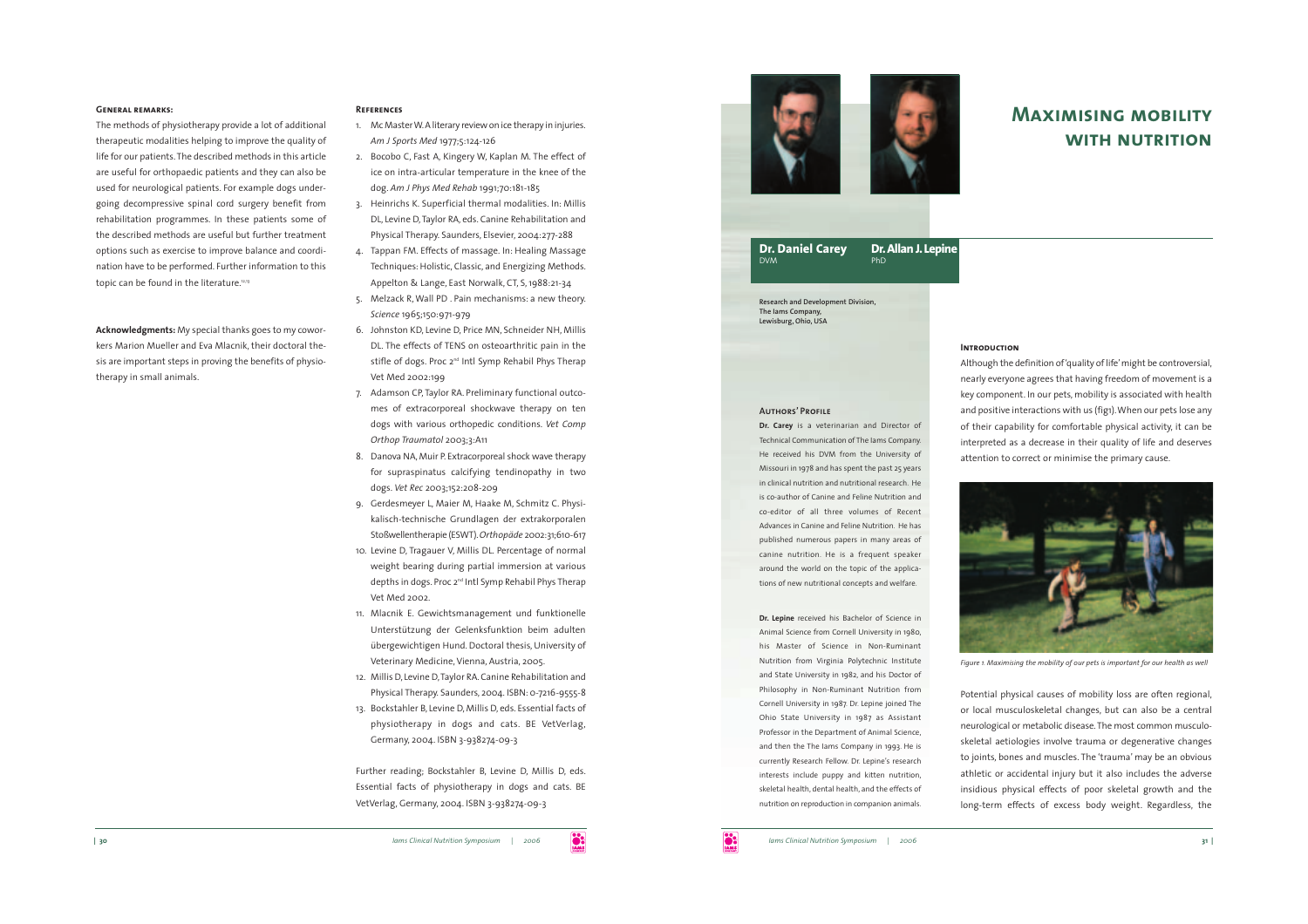

# **Maximising mobilitywith nutrition**

# **Dr. Daniel Carey Dr.Allan J. Lepine DVM**

**Research and Development Division, The Iams Company, Lewisburg, Ohio, USA**

## **Authors' Profile**

**Dr. Carey** is a veterinarian and Director of Technical Communication of The Iams Company. He received his DVM from the University of Missouri in 1978 and has spent the past 25 years in clinical nutrition and nutritional research. Heis co-author of Canine and Feline Nutrition andco-editor of all three volumes of RecentAdvances in Canine and Feline Nutrition. He haspublished numerous papers in many areas of canine nutrition. He is a frequent speaker around the world on the topic of the applications of new nutritional concepts and welfare.

**Dr. Lepine** received his Bachelor of Science in Animal Science from Cornell University in 1980, his Master of Science in Non-Ruminant Nutrition from Virginia Polytechnic Institute and State University in 1982, and his Doctor of Philosophy in Non-Ruminant Nutrition from Cornell University in 1987. Dr. Lepine joined The Ohio State University in 1987 as Assistant Professor in the Department of Animal Science, and then the The Iams Company in 1993. He is currently Research Fellow. Dr. Lepine's research interests include puppy and kitten nutrition, skeletal health, dental health, and the effects of nutrition on reproduction in companion animals.

## **INTRODUCTION**

Although the definition of 'quality of life'might be controversial, nearly everyone agrees that having freedom of movement is a key component. In our pets, mobility is associated with health and positive interactions with us (fig1).When our pets lose any of their capability for comfortable physical activity, it can be interpreted as a decrease in their quality of life and deserves attention to correct or minimise the primary cause.



*Figure 1. Maximising the mobility of our pets is important for our health as well*

Potential physical causes of mobility loss are often regional, or local musculoskeletal changes, but can also be a central neurological or metabolic disease. The most common musculoskeletal aetiologies involve trauma or degenerative changes to joints, bones and muscles. The 'trauma' may be an obvious athletic or accidental injury but it also includes the adverse insidious physical effects of poor skeletal growth and the long-term effects of excess body weight. Regardless, the

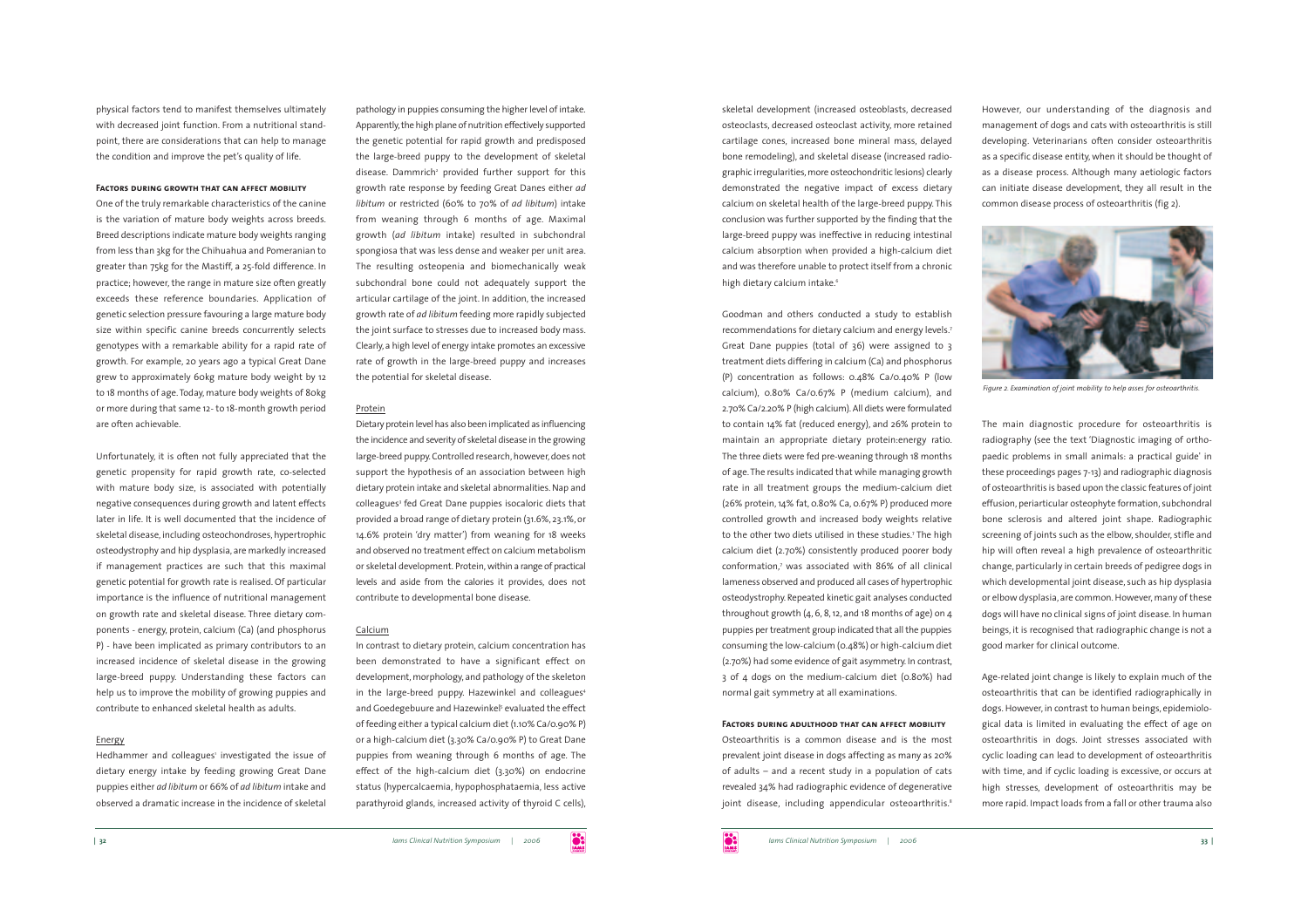physical factors tend to manifest themselves ultimately with decreased joint function. From a nutritional standpoint, there are considerations that can help to manage the condition and improve the pet's quality of life.

#### **Factors during growth that can affect mobility**

One of the truly remarkable characteristics of the canine is the variation of mature body weights across breeds. Breed descriptions indicate mature body weights ranging from less than 3kg for the Chihuahua and Pomeranian to greater than 75kg for the Mastiff, a 25-fold difference. In practice; however, the range in mature size often greatly exceeds these reference boundaries. Application of genetic selection pressure favouring a large mature body size within specific canine breeds concurrently selects genotypes with a remarkable ability for a rapid rate of growth. For example, 20 years ago a typical Great Dane grew to approximately 60kg mature body weight by 12 to 18 months of age. Today, mature body weights of 80kg or more during that same 12- to 18-month growth period are often achievable.

Unfortunately, it is often not fully appreciated that the genetic propensity for rapid growth rate, co-selected with mature body size, is associated with potentially negative consequences during growth and latent effects later in life. It is well documented that the incidence of skeletal disease, including osteochondroses, hypertrophic osteodystrophy and hip dysplasia, are markedly increased if management practices are such that this maximal genetic potential for growth rate is realised. Of particular importance is the influence of nutritional management on growth rate and skeletal disease. Three dietary components - energy, protein, calcium (Ca) (and phosphorus P) - have been implicated as primary contributors to an increased incidence of skeletal disease in the growing large-breed puppy. Understanding these factors can help us to improve the mobility of growing puppies and contribute to enhanced skeletal health as adults.

# Energy

Hedhammer and colleagues' investigated the issue of dietary energy intake by feeding growing Great Dane puppies either *ad libitum* or 66% of *ad libitum* intake and observed a dramatic increase in the incidence of skeletal

pathology in puppies consuming the higher level of intake. Apparently, the high plane of nutrition effectively supported the genetic potential for rapid growth and predisposed the large-breed puppy to the development of skeletal disease. Dammrich<sup>2</sup> provided further support for this growth rate response by feeding Great Danes either *ad libitum* or restricted (60% to 70% of *ad libitum*) intake from weaning through 6 months of age. Maximal growth (*ad libitum* intake) resulted in subchondral spongiosa that was less dense and weaker per unit area. The resulting osteopenia and biomechanically weak subchondral bone could not adequately support the articular cartilage of the joint. In addition, the increased growth rate of *ad libitum* feeding more rapidly subjected the joint surface to stresses due to increased body mass. Clearly, a high level of energy intake promotes an excessive rate of growth in the large-breed puppy and increases the potential for skeletal disease.

## Protein

Dietary protein level has also been implicated as influencing the incidence and severity of skeletal disease in the growing large-breed puppy. Controlled research, however, does not suppor<sup>t</sup> the hypothesis of an association between high dietary protein intake and skeletal abnormalities. Nap and colleagues<sup>3</sup> fed Great Dane puppies isocaloric diets that provided a broad range of dietary protein (31.6%, 23.1%, or 14.6% protein 'dry matter') from weaning for 18 weeks and observed no treatment effect on calcium metabolismor skeletal development. Protein, within a range of practical levels and aside from the calories it provides, does not contribute to developmental bone disease.

## Calcium

In contrast to dietary protein, calcium concentration has been demonstrated to have a significant effect on development, morphology, and pathology of the skeleton in the large-breed puppy. Hazewinkel and colleagues<sup>4</sup> and Goedegebuure and Hazewinkel<sup>5</sup> evaluated the effect of feeding either a typical calcium diet (1.10% Ca/0.90% P) or a high-calcium diet (3.30% Ca/0.90% P) to Great Dane puppies from weaning through 6 months of age. The effect of the high-calcium diet (3.30%) on endocrine status (hypercalcaemia, hypophosphataemia, less active parathyroid glands, increased activity of thyroid C cells),

skeletal development (increased osteoblasts, decreased osteoclasts, decreased osteoclast activity, more retained cartilage cones, increased bone mineral mass, delayed bone remodeling), and skeletal disease (increased radiographic irregularities, more osteochondritic lesions) clearly demonstrated the negative impact of excess dietary calcium on skeletal health of the large-breed puppy. This conclusion was further supported by the finding that the large-breed puppy was ineffective in reducing intestinal calcium absorption when provided a high-calcium diet and was therefore unable to protect itself from a chronic high dietary calcium intake.<sup>6</sup>

Goodman and others conducted a study to establish recommendations for dietary calcium and energy levels.7 Great Dane puppies (total of 36) were assigned to 3 treatment diets differing in calcium (Ca) and phosphorus (P) concentration as follows: 0.48% Ca/0.40% P (low calcium), 0.80% Ca/0.67% P (medium calcium), and 2.70% Ca/2.20% P (high calcium). All diets were formulated to contain 14% fat (reduced energy), and 26% protein to maintain an appropriate dietary protein:energy ratio. The three diets were fed pre-weaning through 18 months of age. The results indicated that while managing growth rate in all treatment groups the medium-calcium diet (26% protein, 14% fat, 0.80% Ca, 0.67% P) produced more controlled growth and increased body weights relative to the other two diets utilised in these studies.<sup>7</sup> The high calcium diet (2.70%) consistently produced poorer body conformation,<sup>7</sup> was associated with 86% of all clinical lameness observed and produced all cases of hypertrophic osteodystrophy. Repeated kinetic gait analyses conducted throughout growth  $(4, 6, 8, 12, 12)$  and 18 months of age) on  $4$ puppies per treatment group indicated that all the puppies consuming the low-calcium (0.48%) or high-calcium diet (2.70%) had some evidence of gait asymmetry. In contrast, 3 of 4 dogs on the medium-calcium diet (0.80%) had normal gait symmetry at all examinations.

#### **Factors during adulthood that can affect mobility**

Osteoarthritis is a common disease and is the most prevalent joint disease in dogs affecting as many as 20% of adults – and a recent study in a population of cats revealed 34% had radiographic evidence of degenerative joint disease, including appendicular osteoarthritis.<sup>8</sup> However, our understanding of the diagnosis and managemen<sup>t</sup> of dogs and cats with osteoarthritis is still developing. Veterinarians often consider osteoarthritis as a specific disease entity, when it should be thought of as a disease process. Although many aetiologic factors can initiate disease development, they all result in the common disease process of osteoarthritis (fig 2).



*Figure 2. Examination of joint mobility to help asses for osteoarthritis.*

The main diagnostic procedure for osteoarthritis is radiography (see the text 'Diagnostic imaging of orthopaedic problems in small animals: a practical guide' in these proceedings pages 7-13) and radiographic diagnosis of osteoarthritis is based upon the classic features of joint effusion, periarticular osteophyte formation, subchondral bone sclerosis and altered joint shape. Radiographic screening of joints such as the elbow, shoulder, stifle and hip will often reveal a high prevalence of osteoarthritic change, particularly in certain breeds of pedigree dogs in which developmental joint disease, such as hip dysplasia or elbow dysplasia, are common. However, many of these dogs will have no clinical signs of joint disease. In human beings, it is recognised that radiographic change is not <sup>a</sup> good marker for clinical outcome.

Age-related joint change is likely to explain much of the osteoarthritis that can be identified radiographically in dogs. However, in contrast to human beings, epidemiological data is limited in evaluating the effect of age on osteoarthritis in dogs. Joint stresses associated with cyclic loading can lead to development of osteoarthritis with time, and if cyclic loading is excessive, or occurs at high stresses, development of osteoarthritis may be more rapid. Impact loads from a fall or other trauma also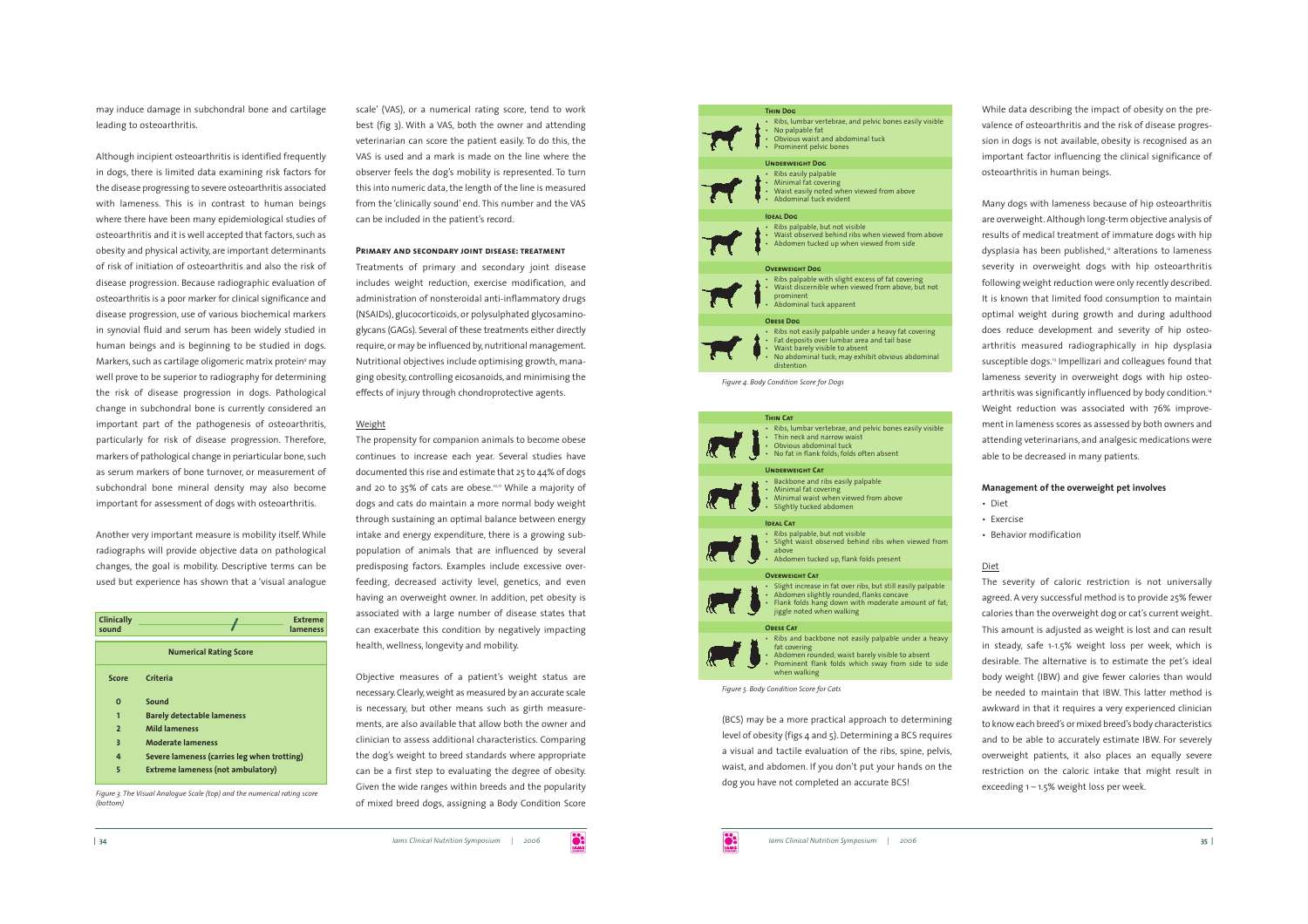may induce damage in subchondral bone and cartilage leading to osteoarthritis.

Although incipient osteoarthritis is identified frequently in dogs, there is limited data examining risk factors for the disease progressing to severe osteoarthritis associated with lameness. This is in contrast to human beings where there have been many epidemiological studies of osteoarthritis and it is well accepted that factors, such as obesity and physical activity, are important determinants of risk of initiation of osteoarthritis and also the risk of disease progression. Because radiographic evaluation of osteoarthritis is a poor marker for clinical significance and disease progression, use of various biochemical markers in synovial fluid and serum has been widely studied in human beings and is beginning to be studied in dogs. Markers, such as cartilage oligomeric matrix protein<sup>9</sup> may well prove to be superior to radiography for determining the risk of disease progression in dogs. Pathological change in subchondral bone is currently considered an important par<sup>t</sup> of the pathogenesis of osteoarthritis, particularly for risk of disease progression. Therefore, markers of pathological change in periarticular bone, such as serum markers of bone turnover, or measurement of subchondral bone mineral density may also become important for assessment of dogs with osteoarthritis.

Another very important measure is mobility itself. While radiographs will provide objective data on pathological changes, the goal is mobility. Descriptive terms can be used but experience has shown that <sup>a</sup>'visual analogue

| Clinically<br>sound           | <b>Extreme</b><br>lameness                  |
|-------------------------------|---------------------------------------------|
| <b>Numerical Rating Score</b> |                                             |
| Score                         | Criteria                                    |
| $\Omega$                      | Sound                                       |
| 1                             | <b>Barely detectable lameness</b>           |
| $\overline{2}$                | <b>Mild lameness</b>                        |
| 3                             | <b>Moderate lameness</b>                    |
| 4                             | Severe lameness (carries leg when trotting) |
| 5                             | <b>Extreme lameness (not ambulatory)</b>    |

*Figure 3. The Visual Analogue Scale (top) and the numerical rating score (bottom)*

scale' (VAS), or a numerical rating score, tend to work best (fig 3). With a VAS, both the owner and attending veterinarian can score the patient easily. To do this, the VAS is used and a mark is made on the line where theobserver feels the dog's mobility is represented. To turn this into numeric data, the length of the line is measured from the 'clinically sound' end. This number and the VAS can be included in the patient's record.

## **Primary and secondary joint disease: treatment**

Treatments of primary and secondary joint disease includes weight reduction, exercise modification, and administration of nonsteroidal anti-inflammatory drugs (NSAIDs), glucocorticoids, or polysulphated glycosaminoglycans (GAGs). Several of these treatments either directly require, or may be influenced by, nutritional management. Nutritional objectives include optimising growth, managing obesity, controlling eicosanoids, and minimising the effects of injury through chondroprotective agents.

# Weight

The propensity for companion animals to become obese continues to increase each year. Several studies have documented this rise and estimate that 25 to 44% of dogs and 20 to 35% of cats are obese.<sup>10,11</sup> While a majority of dogs and cats do maintain a more normal body weight through sustaining an optimal balance between energy intake and energy expenditure, there is a growing subpopulation of animals that are influenced by several predisposing factors. Examples include excessive overfeeding, decreased activity level, genetics, and even having an overweight owner. In addition, pe<sup>t</sup> obesity is associated with a large number of disease states that can exacerbate this condition by negatively impacting health, wellness, longevity and mobility.

Objective measures of a patient's weight status are necessary. Clearly, weight as measured by an accurate scale is necessary, but other means such as girth measurements, are also available that allow both the owner and clinician to assess additional characteristics. Comparing the dog's weight to breed standards where appropriate can be a first step to evaluating the degree of obesity. Given the wide ranges within breeds and the popularity of mixed breed dogs, assigning a Body Condition Score



**Thin Cat**• Ribs, lumbar vertebrae, and pelvic bones easily visible Thin neck and narrow waist Obvious abdominal tuck No fat in flank folds; folds often absent **Underweight Cat** • Backbone and ribs easily palpable Minimal fat covering Minimal waist when viewed from above • Slightly tucked abdomer **Ideal Cat**• Ribs palpable, but not visible Slight waist observed behind ribs when viewed from above Abdomen tucked up, flank folds present **OVERWEIGHT CAT** • Slight increase in fat over ribs, but still easily palpable Abdomen slightly rounded, flanks concave Flank folds hang down with moderate amount of fat; jiggle noted when walking **Obese Cat**• Ribs and backbone not easily palpable under a heavy fat covering Abdomen rounded; waist barely visible to absent Prominent flank folds which sway from side to side when walking

*Figure 5. Body Condition Score for Cats*

(BCS) may be a more practical approach to determining level of obesity (figs 4 and 5). Determining a BCS requires <sup>a</sup> visual and tactile evaluation of the ribs, spine, pelvis, waist, and abdomen. If you don't pu<sup>t</sup> your hands on the dog you have not completed an accurate BCS!

While data describing the impact of obesity on the prevalence of osteoarthritis and the risk of disease progression in dogs is not available, obesity is recognised as an important factor influencing the clinical significance of osteoarthritis in human beings.

Many dogs with lameness because of hip osteoarthritis are overweight. Although long-term objective analysis of results of medical treatment of immature dogs with hip dysplasia has been published,<sup>2</sup> alterations to lameness severity in overweight dogs with hip osteoarthritis following weight reduction were only recently described. It is known that limited food consumption to maintain optimal weight during growth and during adulthood does reduce development and severity of hip osteoarthritis measured radiographically in hip dysplasia susceptible dogs.<sup>3</sup> Impellizari and colleagues found that lameness severity in overweight dogs with hip osteoarthritis was significantly influenced by body condition.<sup>14</sup> Weight reduction was associated with 76% improvement in lameness scores as assessed by both owners and attending veterinarians, and analgesic medications were able to be decreased in many patients.

#### **Management of the overweight pe<sup>t</sup> involves**

- Diet
- Exercise
- Behavior modification

# Diet

The severity of caloric restriction is not universally agreed. A very successful method is to provide 25% fewer calories than the overweight dog or cat's current weight. This amount is adjusted as weight is lost and can result in steady, safe 1-1.5% weight loss per week, which is desirable. The alternative is to estimate the pet's ideal body weight (IBW) and give fewer calories than would be needed to maintain that IBW. This latter method isawkward in that it requires a very experienced clinician to know each breed's or mixed breed's body characteristics and to be able to accurately estimate IBW. For severely overweight patients, it also places an equally severe restriction on the caloric intake that might result in exceeding 1 – 1.5% weight loss per week.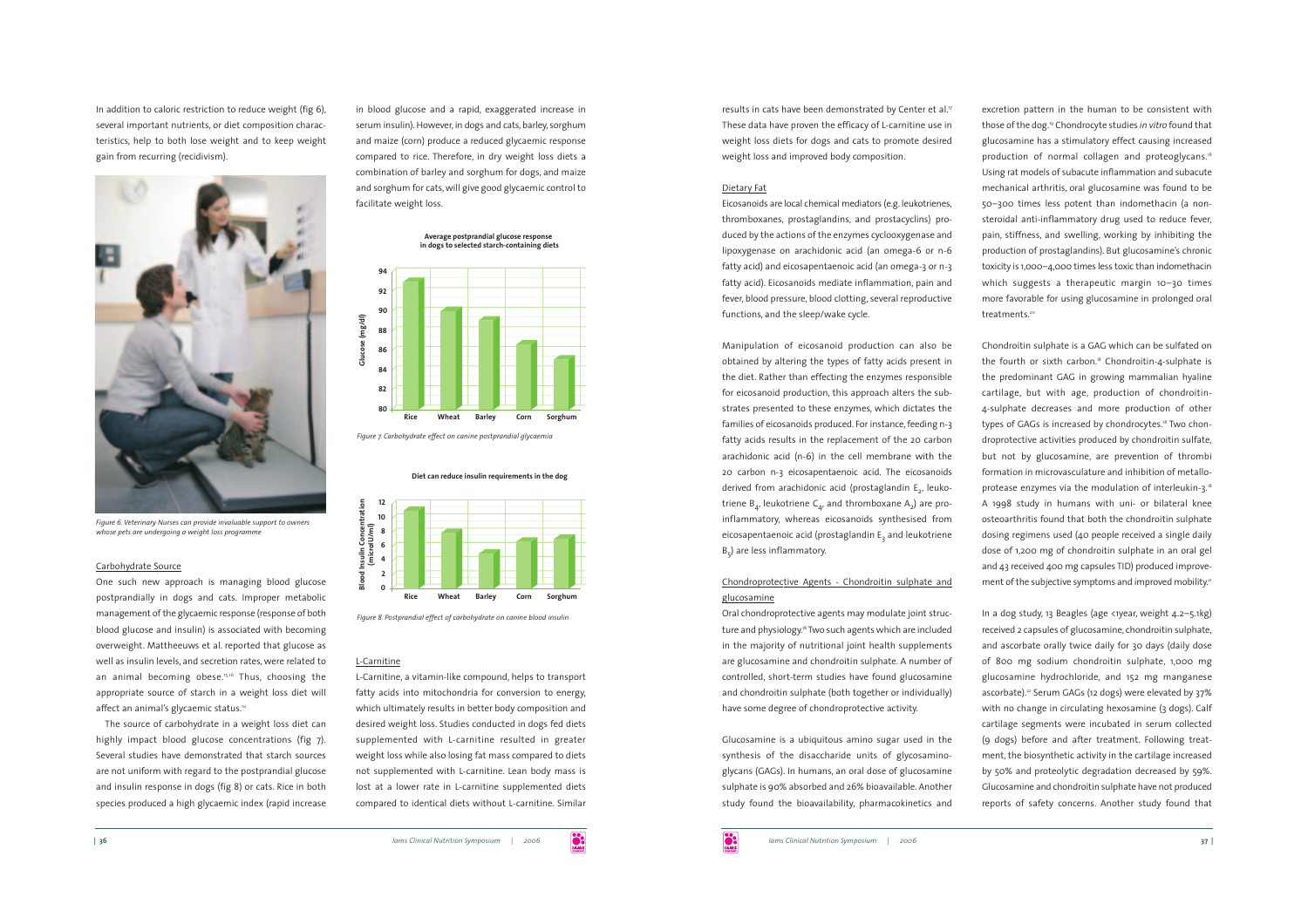In addition to caloric restriction to reduce weight (fig 6), several important nutrients, or diet composition characteristics, help to both lose weight and to keep weight gain from recurring (recidivism).



*Figure 6. Veterinary Nurses can provide invaluable support to owners whose pets are undergoing a weight loss programme*

## Carbohydrate Source

One such new approach is managing blood glucose postprandially in dogs and cats. Improper metabolic managemen<sup>t</sup> of the glycaemic response (response of both blood glucose and insulin) is associated with becoming overweight. Mattheeuws et al. reported that glucose as well as insulin levels, and secretion rates, were related to an animal becoming obese.<sup>15,16</sup> Thus, choosing the appropriate source of starch in a weight loss diet will affect an animal's glycaemic status.<sup>10</sup>

The source of carbohydrate in a weight loss diet can highly impact blood glucose concentrations (fig 7). Several studies have demonstrated that starch sources are not uniform with regard to the postprandial glucose and insulin response in dogs (fig 8) or cats. Rice in both species produced a high glycaemic index (rapid increase

in blood glucose and a rapid, exaggerated increase in serum insulin). However, in dogs and cats, barley, sorghum and maize (corn) produce a reduced glycaemic response compared to rice. Therefore, in dry weight loss diets a combination of barley and sorghum for dogs, and maize and sorghum for cats, will give good glycaemic control to facilitate weight loss.





*Figure 7. Carbohydrate effect on canine postprandial glycaemia*

**Diet can reduce insulin requirements in the dog**



*Figure 8. Postprandial effect of carbohydrate on canine blood insulin*

# L-Carnitine

**Blood Insulin Concentration**

L-Carnitine, a vitamin-like compound, helps to transport fatty acids into mitochondria for conversion to energy, which ultimately results in better body composition and desired weight loss. Studies conducted in dogs fed diets supplemented with L-carnitine resulted in greater weight loss while also losing fat mass compared to diets not supplemented with L-carnitine. Lean body mass is lost at a lower rate in L-carnitine supplemented diets compared to identical diets without L-carnitine. Similar

results in cats have been demonstrated by Center et al.<sup>7</sup> These data have proven the efficacy of L-carnitine use in weight loss diets for dogs and cats to promote desired weight loss and improved body composition.

# Dietary Fat

Eicosanoids are local chemical mediators (e.g. leukotrienes, thromboxanes, prostaglandins, and prostacyclins) produced by the actions of the enzymes cyclooxygenase and lipoxygenase on arachidonic acid (an omega-6 or n-6 fatty acid) and eicosapentaenoic acid (an omega-3 or n-3 fatty acid). Eicosanoids mediate inflammation, pain and fever, blood pressure, blood clotting, several reproductive functions, and the sleep/wake cycle.

Manipulation of eicosanoid production can also be obtained by altering the types of fatty acids present in the diet. Rather than effecting the enzymes responsible for eicosanoid production, this approach alters the substrates presented to these enzymes, which dictates the families of eicosanoids produced. For instance, feeding n-3 fatty acids results in the replacement of the 20 carbon arachidonic acid (n-6) in the cell membrane with the 20 carbon n-3 eicosapentaenoic acid. The eicosanoids derived from arachidonic acid (prostaglandin E<sub>2</sub>, leukotriene  $B_{4}$ , leukotriene C<sub>4</sub>, and thromboxane A<sub>2</sub>) are proinflammatory, whereas eicosanoids synthesised from eicosapentaenoic acid (prostaglandin E<sub>2</sub> and leukotriene B<sub>c</sub>) are less inflammatory.

# Chondroprotective Agents - Chondroitin sulphate and glucosamine

Oral chondroprotective agents may modulate joint structure and physiology.<sup>8</sup> Two such agents which are included in the majority of nutritional joint health supplements are glucosamine and chondroitin sulphate. A number of controlled, short-term studies have found glucosamine and chondroitin sulphate (both together or individually) have some degree of chondroprotective activity.

Glucosamine is a ubiquitous amino sugar used in the synthesis of the disaccharide units of glycosaminoglycans (GAGs). In humans, an oral dose of glucosamine sulphate is 90% absorbed and 26% bioavailable. Another study found the bioavailability, pharmacokinetics and excretion pattern in the human to be consistent with those of the dog.19 Chondrocyte studies *in vitro* found that glucosamine has a stimulatory effect causing increased production of normal collagen and proteoglycans.<sup>18</sup> Using rat models of subacute inflammation and subacute mechanical arthritis, oral glucosamine was found to be 50–300 times less potent than indomethacin (a nonsteroidal anti-inflammatory drug used to reduce fever, pain, stiffness, and swelling, working by inhibiting the production of prostaglandins). But glucosamine's chronic toxicity is 1,000–4,000 times less toxic than indomethacin which suggests a therapeutic margin 10-30 times more favorable for using glucosamine in prolonged oral treatments.<sup>20</sup>

Chondroitin sulphate is a GAG which can be sulfated on the fourth or sixth carbon.18 Chondroitin-4-sulphate is the predominant GAG in growing mammalian hyaline cartilage, but with age, production of chondroitin-4-sulphate decreases and more production of other types of GAGs is increased by chondrocytes.<sup>18</sup> Two chondroprotective activities produced by chondroitin sulfate, but not by glucosamine, are prevention of thrombi formation in microvasculature and inhibition of metalloprotease enzymes via the modulation of interleukin-3.18 <sup>A</sup> 1998 study in humans with uni- or bilateral knee osteoarthritis found that both the chondroitin sulphate dosing regimens used (40 people received a single daily dose of 1,200 mg of chondroitin sulphate in an oral gel and 43 received 400 mg capsules TID) produced improvement of the subjective symptoms and improved mobility.<sup>21</sup>

In a dog study, 13 Beagles (age <1year, weight 4.2-5.1kg) received 2 capsules of glucosamine, chondroitin sulphate, and ascorbate orally twice daily for 30 days (daily dose of 800 mg sodium chondroitin sulphate, 1,000 mg glucosamine hydrochloride, and 152 mg manganese ascorbate).<sup>22</sup> Serum GAGs (12 dogs) were elevated by 37% with no change in circulating hexosamine (3 dogs). Calf cartilage segments were incubated in serum collected (9 dogs) before and after treatment. Following treatment, the biosynthetic activity in the cartilage increased by 50% and proteolytic degradation decreased by 59%. Glucosamine and chondroitin sulphate have not produced reports of safety concerns. Another study found that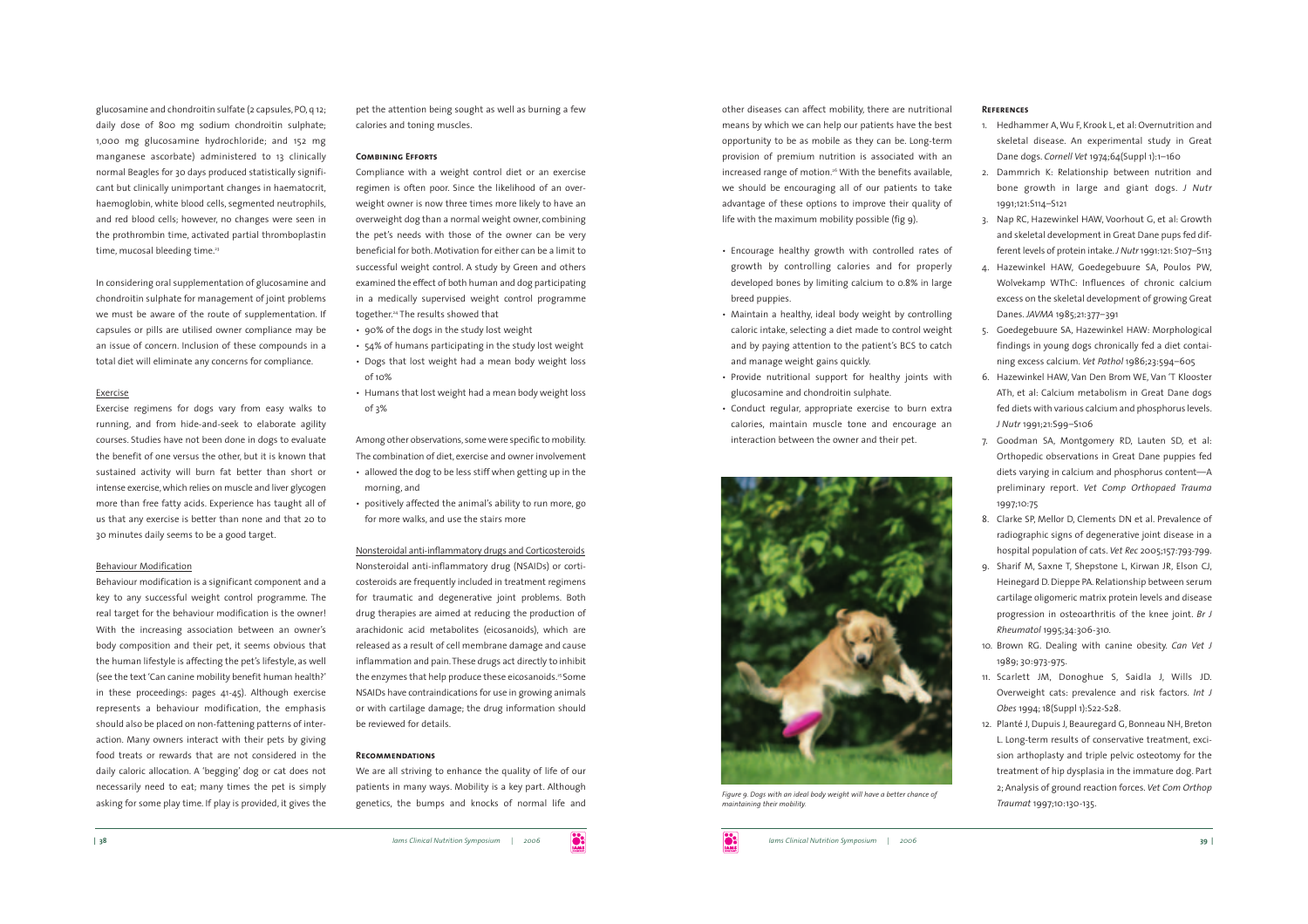glucosamine and chondroitin sulfate (2 capsules, PO, q 12; daily dose of 800 mg sodium chondroitin sulphate; 1,000 mg glucosamine hydrochloride; and 152 mg manganese ascorbate) administered to 13 clinically normal Beagles for 30 days produced statistically significant but clinically unimportant changes in haematocrit, haemoglobin, white blood cells, segmented neutrophils, and red blood cells; however, no changes were seen in the prothrombin time, activated partial thromboplastin time, mucosal bleeding time.<sup>23</sup>

In considering oral supplementation of glucosamine and chondroitin sulphate for management of joint problems we must be aware of the route of supplementation. If capsules or pills are utilised owner compliance may be an issue of concern. Inclusion of these compounds in a total diet will eliminate any concerns for compliance.

# Exercise

Exercise regimens for dogs vary from easy walks to running, and from hide-and-seek to elaborate agility courses. Studies have not been done in dogs to evaluate the benefit of one versus the other, but it is known that sustained activity will burn fat better than short or intense exercise, which relies on muscle and liver glycogen more than free fatty acids. Experience has taught all of us that any exercise is better than none and that 20 to 30 minutes daily seems to be a good target.

#### Behaviour Modification

Behaviour modification is a significant componen<sup>t</sup> and a key to any successful weight control programme. The real target for the behaviour modification is the owner! With the increasing association between an owner's body composition and their pet, it seems obvious that the human lifestyle is affecting the pet's lifestyle, as well (see the text 'Can canine mobility benefit human health?' in these proceedings: pages 41-45). Although exercise represents a behaviour modification, the emphasis should also be placed on non-fattening patterns of interaction. Many owners interact with their pets by giving food treats or rewards that are not considered in the daily caloric allocation. <sup>A</sup>'begging' dog or cat does not necessarily need to eat; many times the pet is simply asking for some play time. If play is provided, it gives the pe<sup>t</sup> the attention being sought as well as burning a few calories and toning muscles.

## **Combining Efforts**

Compliance with a weight control diet or an exercise regimen is often poor. Since the likelihood of an overweight owner is now three times more likely to have an overweight dog than a normal weight owner, combining the pet's needs with those of the owner can be very beneficial for both. Motivation for either can be a limit tosuccessful weight control. A study by Green and others examined the effect of both human and dog participating in a medically supervised weight control programme together.24 The results showed that

- 90% of the dogs in the study lost weight
- 54% of humans participating in the study lost weight
- Dogs that lost weight had a mean body weight loss  $of 10%$
- Humans that lost weight had a mean body weight loss of 3%

Among other observations, some were specific to mobility. The combination of diet, exercise and owner involvement

- allowed the dog to be less stiff when getting up in the morning, and
- positively affected the animal's ability to run more, go for more walks, and use the stairs more

Nonsteroidal anti-inflammatory drugs and Corticosteroids

Nonsteroidal anti-inflammatory drug (NSAIDs) or corticosteroids are frequently included in treatment regimens for traumatic and degenerative joint problems. Both drug therapies are aimed at reducing the production of arachidonic acid metabolites (eicosanoids), which are released as a result of cell membrane damage and cause inflammation and pain. These drugs act directly to inhibit the enzymes that help produce these eicosanoids.<sup>25</sup> Some NSAIDs have contraindications for use in growing animals or with cartilage damage; the drug information should be reviewed for details.

## **Recommendations**

We are all striving to enhance the quality of life of our patients in many ways. Mobility is a key part. Although genetics, the bumps and knocks of normal life and other diseases can affect mobility, there are nutritional means by which we can help our patients have the best opportunity to be as mobile as they can be. Long-term provision of premium nutrition is associated with an increased range of motion.<sup>26</sup> With the benefits available, we should be encouraging all of our patients to take advantage of these options to improve their quality of life with the maximum mobility possible (fig 9).

- Encourage healthy growth with controlled rates of growth by controlling calories and for properly developed bones by limiting calcium to 0.8% in large breed puppies.
- Maintain a healthy, ideal body weight by controlling caloric intake, selecting a diet made to control weight and by paying attention to the patient's BCS to catch and manage weight gains quickly.
- Provide nutritional support for healthy joints with glucosamine and chondroitin sulphate.
- Conduct regular, appropriate exercise to burn extra calories, maintain muscle tone and encourage an interaction between the owner and their pet.



*Figure 9. Dogs with an ideal body weight will have a better chance of maintaining their mobility.*

#### **References**

- 1. Hedhammer A, Wu F, Krook L, et al: Overnutrition and skeletal disease. An experimental study in Great Dane dogs. *Cornell Vet* 1974;64(Suppl 1):1–160
- 2. Dammrich K: Relationship between nutrition and bone growth in large and giant dogs. *<sup>J</sup> Nutr* 1991;121:S114–S121
- 3. Nap RC, Hazewinkel HAW, Voorhout G, et al: Growth and skeletal development in Great Dane pups fed different levels of protein intake.*<sup>J</sup> Nutr* 1991:121: S107–S113
- 4. Hazewinkel HAW, Goedegebuure SA, Poulos PW, Wolvekamp WThC: Influences of chronic calcium excess on the skeletal development of growing Great Danes. *JAVMA* 1985;21:377–391
- 5. Goedegebuure SA, Hazewinkel HAW: Morphological findings in young dogs chronically fed a diet containing excess calcium. *Vet Pathol* 1986;23:594–605
- 6. Hazewinkel HAW, Van Den Brom WE, Van 'T Klooster ATh, et al: Calcium metabolism in Great Dane dogs fed diets with various calcium and phosphorus levels. *J Nutr* 1991;21:S99–S106
- 7. Goodman SA, Montgomery RD, Lauten SD, et al: Orthopedic observations in Great Dane puppies fed diets varying in calcium and phosphorus content—A preliminary report. *Vet Comp Orthopaed Trauma* 1997;10:75
- 8. Clarke SP, Mellor D, Clements DN et al. Prevalence of radiographic signs of degenerative joint disease in a hospital population of cats. *Vet Rec* 2005;157:793-799.
- 9. Sharif M, Saxne T, Shepstone L, Kirwan JR, Elson CJ, Heinegard D. Dieppe PA. Relationship between serum cartilage oligomeric matrix protein levels and disease progression in osteoarthritis of the knee joint. *Br J Rheumatol* 1995;34:306-310.
- 10. Brown RG. Dealing with canine obesity. *Can Vet <sup>J</sup>* 1989; 30:973-975.
- 11. Scarlett JM, Donoghue S, Saidla J, Wills JD. Overweight cats: prevalence and risk factors. *Int <sup>J</sup> Obes* 1994; 18(Suppl 1):S22-S28.
- 12. Planté J, Dupuis J, Beauregard G, Bonneau NH, Breton L. Long-term results of conservative treatment, excision arthoplasty and triple pelvic osteotomy for the treatment of hip dysplasia in the immature dog. Part 2; Analysis of ground reaction forces. *Vet Com Orthop Traumat* 1997;10:130-135.